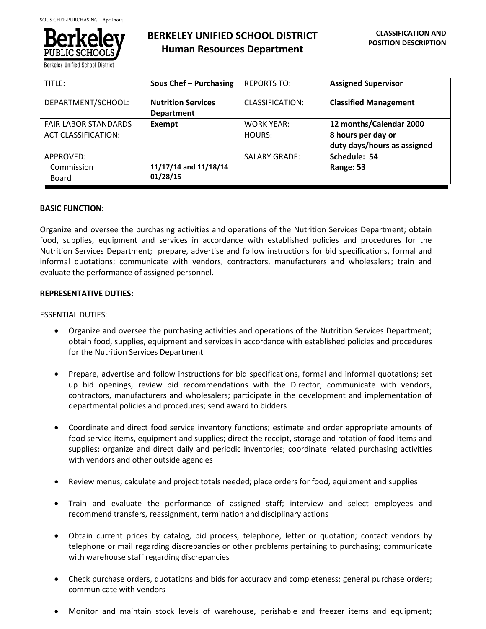

**Berkeley Unified School Distric** 

# **BERKELEY UNIFIED SCHOOL DISTRICT Human Resources Department**

| TITLE:                                                    | Sous Chef - Purchasing                         | <b>REPORTS TO:</b>          | <b>Assigned Supervisor</b>                                                   |
|-----------------------------------------------------------|------------------------------------------------|-----------------------------|------------------------------------------------------------------------------|
| DEPARTMENT/SCHOOL:                                        | <b>Nutrition Services</b><br><b>Department</b> | CLASSIFICATION:             | <b>Classified Management</b>                                                 |
| <b>FAIR LABOR STANDARDS</b><br><b>ACT CLASSIFICATION:</b> | Exempt                                         | <b>WORK YEAR:</b><br>HOURS: | 12 months/Calendar 2000<br>8 hours per day or<br>duty days/hours as assigned |
| APPROVED:<br>Commission<br>Board                          | 11/17/14 and 11/18/14<br>01/28/15              | <b>SALARY GRADE:</b>        | Schedule: 54<br>Range: 53                                                    |

#### **BASIC FUNCTION:**

Organize and oversee the purchasing activities and operations of the Nutrition Services Department; obtain food, supplies, equipment and services in accordance with established policies and procedures for the Nutrition Services Department; prepare, advertise and follow instructions for bid specifications, formal and informal quotations; communicate with vendors, contractors, manufacturers and wholesalers; train and evaluate the performance of assigned personnel.

## **REPRESENTATIVE DUTIES:**

## ESSENTIAL DUTIES:

- Organize and oversee the purchasing activities and operations of the Nutrition Services Department; obtain food, supplies, equipment and services in accordance with established policies and procedures for the Nutrition Services Department
- Prepare, advertise and follow instructions for bid specifications, formal and informal quotations; set up bid openings, review bid recommendations with the Director; communicate with vendors, contractors, manufacturers and wholesalers; participate in the development and implementation of departmental policies and procedures; send award to bidders
- Coordinate and direct food service inventory functions; estimate and order appropriate amounts of food service items, equipment and supplies; direct the receipt, storage and rotation of food items and supplies; organize and direct daily and periodic inventories; coordinate related purchasing activities with vendors and other outside agencies
- Review menus; calculate and project totals needed; place orders for food, equipment and supplies
- Train and evaluate the performance of assigned staff; interview and select employees and recommend transfers, reassignment, termination and disciplinary actions
- Obtain current prices by catalog, bid process, telephone, letter or quotation; contact vendors by telephone or mail regarding discrepancies or other problems pertaining to purchasing; communicate with warehouse staff regarding discrepancies
- Check purchase orders, quotations and bids for accuracy and completeness; general purchase orders; communicate with vendors
- Monitor and maintain stock levels of warehouse, perishable and freezer items and equipment;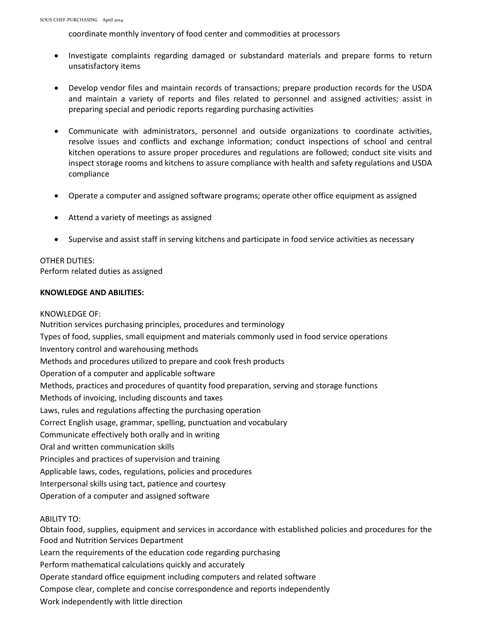coordinate monthly inventory of food center and commodities at processors

- Investigate complaints regarding damaged or substandard materials and prepare forms to return unsatisfactory items
- Develop vendor files and maintain records of transactions; prepare production records for the USDA and maintain a variety of reports and files related to personnel and assigned activities; assist in preparing special and periodic reports regarding purchasing activities
- Communicate with administrators, personnel and outside organizations to coordinate activities, resolve issues and conflicts and exchange information; conduct inspections of school and central kitchen operations to assure proper procedures and regulations are followed; conduct site visits and inspect storage rooms and kitchens to assure compliance with health and safety regulations and USDA compliance
- Operate a computer and assigned software programs; operate other office equipment as assigned
- Attend a variety of meetings as assigned
- Supervise and assist staff in serving kitchens and participate in food service activities as necessary

# OTHER DUTIES:

Perform related duties as assigned

## **KNOWLEDGE AND ABILITIES:**

## KNOWLEDGE OF:

Nutrition services purchasing principles, procedures and terminology Types of food, supplies, small equipment and materials commonly used in food service operations Inventory control and warehousing methods Methods and procedures utilized to prepare and cook fresh products Operation of a computer and applicable software Methods, practices and procedures of quantity food preparation, serving and storage functions Methods of invoicing, including discounts and taxes Laws, rules and regulations affecting the purchasing operation Correct English usage, grammar, spelling, punctuation and vocabulary Communicate effectively both orally and in writing Oral and written communication skills Principles and practices of supervision and training Applicable laws, codes, regulations, policies and procedures Interpersonal skills using tact, patience and courtesy Operation of a computer and assigned software

#### ABILITY TO:

Obtain food, supplies, equipment and services in accordance with established policies and procedures for the Food and Nutrition Services Department Learn the requirements of the education code regarding purchasing Perform mathematical calculations quickly and accurately Operate standard office equipment including computers and related software Compose clear, complete and concise correspondence and reports independently Work independently with little direction